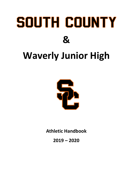# SOUTH COUNTY **&**

# **Waverly Junior High**



**Athletic Handbook**

**2019 – 2020**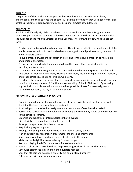# **PURPOSE**

The purpose of the South County Vipers Athletic Handbook is to provide the athletes, cheerleaders, and their parents and coaches with all the information they will need concerning athletic programs, eligibility, training rules, discipline, practice schedules, etc.

#### **PHILOSOPHY**

Franklin and Waverly High Schools believe that an Interscholastic Athletic Program should provide opportunities for students to develop their talents in a well-organized manner under the guidance of the Athletic Director and the Coaches. Therefore, the following goals are set forth:

- **•** To give public witness to Franklin and Waverly High School's belief in the development of the whole person—spirit, mind and body—by competing with a full positive effort, self-control, and exemplary conduct.
- **•** To supplement our Academic Program by providing for the development of physical skills and personal character.
- **•** To provide an opportunity for students to learn the value of hard work, discipline, selfsacrifice, and teamwork.
- **•** To manage an Athletic Program in accordance within the letter and spirit of the rules and regulations of Franklin High School, Waverly High School, the Illinois High School Association, and other athletic associations to which we belong.
- **•** To achieve these goals, the student athletes, coaches, and administrators will work together to abide by the regulations of Franklin and Waverly High School's Philosophy. By adhering to high ethical standards, we will maintain the best possible climate for personal growth, spirited competition, and loyal community support.

# **RESPONSIBILITES OF ATHLETIC DIRECTORS**

- **•** Organize and administer the overall program of extra-curricular athletics for the school district at the level for which they are assigned.
- **•** Provide input in the selection, assignment, and evaluation of coaches when asked.
- **•** Foster good school-community relations by keeping the community aware of and responsive to the athletic programs.
- **•** Organize and schedule all interscholastic athletic events
- **•** Hire officials, as required, according to the event
- **•** Arrange transportation for athletic contest
- **•** Requisition program supplies
- **•** Arrange for visiting teams needs while visiting South County events
- **•** Plan and supervises recognition programs for athletes and their teams
- **•** Show an active interest in all athletic events offered by the school
- **•** Makes sure all eligibility rules are being followed properly
- **•** Sees that playing fields/floors are ready for each competition
- **•** Sees that all awards are ordered and helps coaching staff to administer the awards
- **•** Schedules district facilities in a fair and equitable manner
- **•** Sees that athletic and academic eligibility are administered properly
- **•** Calls meeting with staff when necessary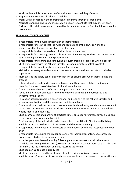- **•** Works with Administration in case of cancellation or rescheduling of events
- **•** Prepares and distributes all athletic schedules
- **•** Works with all coaches in the coordination of programs through all grade levels
- **•** Assists the principal and Board of education in resolving conflicts that may arise in sports
- **•** Performs other duties as may be required by the administration or Board of Education of the two schools

#### **RESPONSIBILITIES OF COACHES**

- **•** Is responsible for the overall supervision of their program
- **•** Is responsible for assuring that the rules and regulations of the IHSA/IESA and the conferences that they are in are abided by at all times.
- **•** Is responsible for direct supervision of all athletes on their team
- **•** Is responsible for attending an IHSA rule interpretation meeting for their sport as well as all other meetings concerning their sport or team.
- **•** Is responsible for planning and scheduling a regular program of practice when in season
- **•** Must work closely with the Athletic Director in scheduling interscholastic contest
- **•** Is responsible for submitting budget request for the sport
- **•** Maintains necessary attendance forms, insurance records, accident reports, and similar paperwork
- **•** Must oversee the safety conditions of the facility or playing area when their athletes are present
- **•** Enforce discipline and sportsmanship behaviors at all times, and establish and oversee penalties for infractions of standards by individual athletes
- **•** Conducts themselves in a professional and positive manner at all times
- **•** Keeps and up-to-date and accurate inventory record of all equipment, supplies, and uniforms for their sport
- **•** Fills out an accident report in a timely manner and reports it to the Athletic Director and school administration, and the parents of the injured athlete
- **•** Contacts all local media with contest results immediately following each home contest and in some cases away contest as well as all team and individual stats as requested by media for weekly reports and coverage.
- **•** Must inform players and parents of practices times, bus departure times, games times, and return home times when at all possible
- **•** Provide a copy of the individual coach's team rules to the Athletic Director and building administrator prior to the start of the season and the parent meeting
- **•** Is responsible for conducting a Mandatory parent meeting before the first practice or soon after
- **•** Is responsible for securing the proper personnel for their sports contest. I.e. scorekeeper, clock keeper, starter, timer, announcer, etc.
- **•** Is the last person to leave the facility following practices, contest, and all other events scheduled pertaining to their sport (exception Custodians). Coaches must see that lights are turned off, the facility secured, and area returned too normal.
- **•** Must keep an up-to-date eligibility list
- **•** Must ride team bus to and from all contests unless prior permission is granted by administration. Coaches must take whatever reasonable steps necessary to control athletes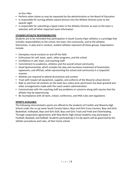on bus rides

- **•** Perform other duties as may be requested by the administration or the Board of Education
- **•** Is responsible for turning athletic award winners into the Athletic Director prior to the awards night
- **•** Is responsible for submitting a typed roster to the Athletic Director as soon as the team is selected, with all other important team information

#### **STUDENT/ATHLETE RESPONSIBILITIES**

Students are to be reminded that participation in South County Viper athletics is a privilege that includes responsibilities to the school, the team, the community, and to the athletes themselves. In play and in conduct, student athletes represent all these groups. Expectations include:

- **•** Exemplary moral conduct on and off the field
- **•** Enthusiasm for self, team, sport, other programs, and the school
- **•** Confidence in self, team, and coaching staff
- **•** Commitment to academics, athletics and the overall school community
- **•** Good Sportsmanship, which includes fair play and courteous treatment of teammates, opponents, and officials, while representing the school and community in a respectful manner.
- **•** Athletes are required to attend all practices and contest
- **•** Treat with respect all equipment, supplies, and uniforms of the Waverly school district
- **•** Ride to and from all contests on the team bus unless prior permission has been granted and other arrangements made with the coach and/or administration.
- **•** Communicate with the coaching staff any problems or concerns along with injuries that the athlete may be experiencing
- **•** Be incompliance with all team, school, conference, and IHSA rules and regulations

# **SPORTS AVAILABLE**

The following interscholastic sports are offered to the students of Franklin and Waverly High School under the co-op name South County Vipers: Boys and Girls Cross Country, Boys and Girls Basketball, Volleyball, Boys and Girls Golf, Boys and Girls Track and Field and Cheerleading. Through cooperative agreements with New Berlin High School students may participate in Football, Baseball, and Softball. Students participating in Co-Op sports will be governed by the athletic procedures and rules, of their home school.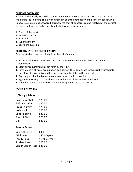# **CHAIN OF COMMAND**

Franklin and Waverly High Schools asks that anyone who wishes to discuss a point of concern should use the following chain of command in an attempt to resolve the concern peacefully or to have your questions answered. It is believed that all concerns can be resolved at the earliest possible level with all parties involved by following this procedure.

- **1.** Coach of the sport
- **2.** Athletic Director
- **3.** Principal
- **4.** Superintendent
- **5.** Board of Education

#### **REQUIREMENTS FOR PARTICIPATION**

Before a student may participate in athletics he/she must:

- **1.** Be in compliance with all rules and regulations contained in the athletic or student handbooks.
- **2.** Meet any requirements as set forth by the IHSA.
- **3.** Have a recent physical examination by a doctor. The appropriate form must be turned into the office. A physical is good for one year from the date on the physical.
- **4.** Pay the participation fee within one week after the first practice.
- **5.** Sign a form stating that they have received and read the Athletic Handbook.
- **6.** Submit a copy of their birth certificate or hospital record to the office.

#### **PARTICIPATION FEE**

#### **Jr/Sr High School**

| <b>Boys Basketball</b>  | \$20.00 |
|-------------------------|---------|
| <b>Girls Basketball</b> | \$20.00 |
| <b>Cross Country</b>    | \$20.00 |
| Volleyball              | \$20.00 |
| Cheerleading            | \$20.00 |
| Track & Field           | \$20.00 |
| Golf                    | \$20.00 |

# **Season Passes**

| <b>FREE</b>                 |
|-----------------------------|
| \$50.00/year                |
| \$100.00/year               |
| \$25.00                     |
| Senior Citizen Pass \$25.00 |
|                             |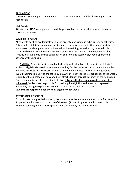#### **AFFILIATIONS**

The South County Vipers are members of the MSM Conference and the Illinois High School Association.

#### **Club Sports**

Athletes may NOT participate in or on club sports or leagues during the same sports season based on IHSA rules

#### **ELIGIBILITY SYSTEM**

All students must be academically eligible in order to participate in extra-curricular activities. This includes athletics, drama, and music events, club-sponsored activities, school social events, work passes, and cooperative vocational education training, as well as any other schoolsponsored events. Exceptions are made for graduation and related activities, cheerleading tryouts, play auditions, awards banquets, Jr. Sr. Prom, and assemblies/events approved in advance by the principal.

**Eligibility:** Students must be academically eligible in all subjects in order to participate in athletics. **Eligibility is based on academic standing for the semester** and a student cannot be ineligible in a class until the class has met a minimum of 4 times. Teachers are required to submit their ineligible list to the office by 8:10AM on Friday (or the last school day of the week). Eligibility will be posted on Friday and be in effect Monday through Saturday of the next week. Once a student is classified as being ineligible, **this classification remains until a new list is submitted.** Students are responsible for checking the eligibility each week and repeated ineligibility during the sport season could result in dismissal from the team. **Students are responsible for checking eligibility each week.**

# **ATTENDANCE AT SCHOOL**

To participate in any athletic contest, the student must be in attendance at school for the entire 4<sup>th</sup> period and homeroom on the day of the event (7<sup>th</sup> and 8<sup>th</sup> period and homeroom for Waverly students), unless special permission is granted by the administration.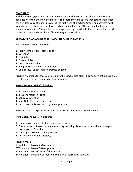#### **TEAM RULES**

Each head coach/sponsor is responsible to carry out the rules of the athletic handbook in conjunction with his/her own team rules. The coach must make sure that each team member has a written copy of team rules during the first week of practice. Parents and athletes must sign a form indicating that they have read and understand the Athletic Handbook before a student may practice. These rules must be approved by the athletic director and principal prior to their issuance and must be on file in the high school office.

# **BEHAVIORS ALL COACHES WILL RECOGNIZE AS INAPPROPRIATE**

# **First Degree "Minor" Violations:**

- **1.** Tardiness to practice, game, or bus
- **2.** Detention
- **3.** Eligibility
- **4.** Curfew Violation
- **5.** Dress Code Violation
- **6.** Inappropriate language or behavior
- **7.** Unexcused, skipped/missed practice or game.

**Penalty:** Violations for these acts are up to the coach's discretion. Examples might include time out of games, or extra work to be done at practice

#### **Second Degree "Major" Violations:**

- **1.** Insubordination in school
- **2.** Insubordination in sports
- **3.** Saturday Detention
- **4.** In or Out of School suspension
- **5.** Unsportsmanlike conduct at game or practice

**Penalty:** 1 Game suspension 3 violations will result in dismissal from the team.

#### **Third Degree "Severe" Violations:**

- **1.** Use or possession of alcohol, tobacco, and drugs
- **2.** Threats or acts of violence, and any activity involving dishonesty or intentional damage to the property of another.
- **3.** Theft possession of stolen property
- **4.** Destruction of school property

#### **Penalty Phase***:*

1<sup>st</sup> Violation: Loss of 25% of games.

- 2<sup>nd</sup> Violation: Loss of 50% of games
- 3<sup>rd</sup> Violation: Loss of 100% of the season
- 4 th Violation: Indefinite suspension from all extracurricular activities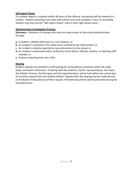# **Self-report Clause**

If a student reports a violation within 48 hours of the offense, the penalty will be lowered to 1 contest. Student reporting must meet with school nurse and complete 1 hour of counseling. Student may only use the "Self-report Clause" once in their high school career.

# **Administrative Investigation Process:**

**Discovery:** Violations of training rules must be made known to the school administration through:

- **a.** A student / athlete admission to a rule violation, or
- **b.** An incident is reported in the media and is verified by law enforcement, or
- **c.** An incident is directly reported by law enforcement to the school, or
- **d.** An incident is witnessed and/or verified by school district officials, coaches, or teaching staff member, or
- **e.** A parent reporting their own child.

# **Hearing**

Student-athletes are entitled to a full hearing for all disciplinary situations which fall under Major and Severe infractions. A hearing with the students, his/her representatives, the Coach, the Athletic Director, the Principal, and the Superintendent, will be held within two school days of a written request from the student-athlete. Appeals after the hearing may be made directly to the Board of Education by written request. Pertinent documents will be presented during the hearing process.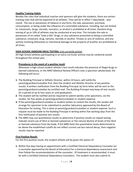# **Healthy Training Habits**

Besides the rules that individual coaches and sponsors will give the students, there are certain training rules that will be expected of all athletes. They will be in effect 7 days/week - year round. The use or possession of tobacco in any form, the sale, possession, purchase, consumption, or being under the influence of a controlled substance, including, but not limited to, intoxicants, drugs, steroids, narcotics, or alcohol is prohibited at all times. Random drug testing of up to 10% of athletes may be conducted at any time. This includes the sale or possession of so-called "look-a-like" drugs, or any substance presented as being a controlled substance, intoxicant, drug, narcotic, steroids or alcohol. Threats or acts of violence, and any activity involving dishonesty or intentional damage to the property of another are prohibited at all times.

# **HIGH SCHOOL RANDOM DRUG TESTING:** (not currently active)

All High School athletes participating in an extra-curricular activity may be randomly tested throughout the school year.

# **Procedures in the event of a positive result**

Whenever a high school student athlete's test result indicates the presence of illegal drugs or banned substances, or the MRO (Medical Review Officer) rules a specimen adulterated, the following will occur:

- **1.** The Building Principal or Athletic Director, within 24 hours, will notify the parent/guardian/custodian first, then the student and Athletic Director of any positive results. A written notification from the Building Principal, by form letter will be sent to the parent/guardian/custodian by certified mail. The Building Principal may keep all test results for a period of up to four years or until graduation.
- **2.** The student will be notified and be required to submit weekly urine specimens, via the vendor, for five weeks at parent/guardian/custodian or student expense.
- **3.** If the parent/guardian/custodian or student wishes to contest the results, the vendor will arrange for specimen to be submitted to another laboratory approved by the Board of Education for testing. This is done at parent/guardian/custodian or student expense. Such a request must be made to the Building Principal in writing within five working days from the first notification of positive test results.
- **4.** The MRO may use quantitative results to determine if positive results on repeat testing indicate recent use of illicit or banned substances or the natural decline of levels of the illicit or banned substance from the body. If the MRO feels the quantitative levels determined to be above the established cutoffs do not reflect current use but natural decay, then negative results may be reported.

# **First Positive Result:**

For the first positive result, the student athlete will be given the option of:

**1.** Within five days having an appointment with a Certified Chemical Dependency Counselor (or a counselor approved by the Board of Education) for a chemical dependency assessment and then follow the recommendations of the counselor. (If treatment is recommended, it must be with a Certified Chemical Dependency Counselor). The student must also submit to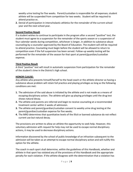weekly urine testing for five weeks. Parent/custodian is responsible for all expenses; student athlete will be suspended from competition for two weeks. Student will be required to attend practice or,

**2.** Denial of participation in interscholastic athletics for the remainder of the current school year and the next school year.

# **Second Positive Result**

If a student wishes to continue to participate in the program after a second "positive" test, the student must agree to a suspension for the remainder of the sports season or a suspension of four calendar weeks during competition, whichever is longer, in addition to substance abuse counseling by a counselor approved by the Board of Education. The student will still be required to attend practice. Counseling must begin before the student will be allowed to return to competition even if the full suspension has been served. Follow-up weekly testing will be performed for the remainder of the season for that sport at parent/guardian/custodian expense.

# **Third Positive Result**

A third "positive" test will result in automatic suspension from participation for the remainder of the student's time in the District's high school.

# **HONOR CLAUSE:**

Any athlete who presents himself/herself to the head coach or the athletic director as having a substance abuse problem will retain full practice and playing privileges as long as the following conditions are met:

- **1.** The admission of the said abuse is initiated by the athlete and is not made as a means of escaping disciplinary action. The athlete will give up playing privileges until the drug test shows natural decay.
- **2.** The athlete and parents are referred and begin to receive counseling at a recommended treatment center within 2 weeks of admission.
- **3.** The athlete and parent/guardian/custodian consent to weekly urine drug testing at the parent/guardian/custodian expense for five weeks.
- **4.** The MRO determines that quantitative levels of the illicit or banned substance do not reflect current use but natural decay.

The provisions are written to allow an athlete the opportunity to seek help. However, this voluntary admission with request for help may not be used to escape normal disciplinary actions, it may be used to decrease disciplinary actions.

Information discovered by the school of public knowledge of an infraction subsequent to the admission will be taken as an attempt to escape normal disciplinary action and will nullify this option for the athlete.

The coach in each sport shall determine, within the guidelines of this Handbook, whether and athlete in that sport has violated any of the provisions of this Handbook and the appropriate penalty for each violation. If the athlete disagrees with the determination that a violation has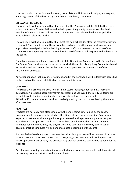occurred or with the punishment imposed, the athlete shall inform the Principal, and request, in writing, review of the decision by the Athletic Disciplinary Committee.

# **GRIEVANCE PROCEDURE**

The Athletic Disciplinary Committee shall consist of the Principals, and the Athletic Directors, unless the Athletic Director is the coach who imposed the penalty. In such case, the third member of the Committee shall be a coach of another sport selected by the Principal. The Principal shall select the teacher.

The Athletic Disciplinary Committee shall meet the next school day after the request for review is received. The committee shall hear from the coach and the athlete and shall conduct an appropriate investigation before deciding whether to affirm or reverse the decision of the coach to impose a penalty under this Handbook. Due deference shall be given to the decision of the coach.

The athlete may appeal the decision of the Athletic Disciplinary Committee to the School Board. The School Board shall review the evidence on which the Athletic Disciplinary Committee based its decision and hear any further evidence as soon as possible after the decision of the Disciplinary Committee.

Any other situation that may arise, not mentioned in the handbook, will be dealt with according to the coach of that sport, athletic director, and administration.

#### **UNIFORMS**

The schools will provide uniforms for all athletic teams including Cheerleading. These are purchased on a rotating basis. Normally in basketball and volleyball, the varsity uniforms are passed down to the junior varsity when new varsity uniforms are purchased. Athletic uniforms are to be left in a location designated by the coach when leaving the school after a contest.

#### **PRACTICES**

Practices are normally held after school with the ending time determined by the coach. However, practices may be scheduled at other times at the coach's discretion. Coaches are expected to set a normal ending point for practice so that the players and parents can plan accordingly. If on a particular night practice will end at a different than normal time or is scheduled for a different time, the players should be told that fact the day before. When possible, practice schedules will be announced at the beginning of the Month.

If school is dismissed early due to bad weather all athletic practices will be canceled. Practices on Sunday or on school holidays such as Thanksgiving, Christmas, etc. will not be permitted unless approved in advance by the principal. Any practice on those days will be optional for the students.

Decisions on canceling contests in the case of inclement weather, bad road conditions, etc. will be made by the administration and athletic director.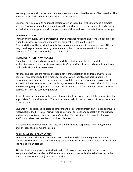Normally contests will be canceled on days when no school is held because of bad weather. The administration and athletic director will make the decision.

Coaches must be given 24 hours notification when an individual wishes to attend a practice session. Permission should be acquired from the coach prior to the beginning of practice, any individual attending practice without permission of the coach could be asked to leave the gym.

# **TRANSPORTATION**

Franklin and Waverly School Districts will provide transportation to and from athletic practices when the practices are mandatory sessions during the season of the sport.

Transportation will be provided for all athletes to mandatory practices sessions only. Athletes may travel to practice sessions by other means if, the school administration has written permission from the parent or legal guardian to do so.

# **TRANSPORTATION - AWAY GAMES**

The athletic director and director of transportation shall arrange for transportation of all athletic teams and for busses to away contests. Only qualified licensed drivers will be allowed to drive district vehicles to contests.

Athletes and coaches are required to ride district transportation to and from away athletic contests. An exception to this is made for coaches when their team is participating in a tournament and they need to arrive early or leave late from the tournament. No one will be allowed to ride to any away contest with anyone except the team bus unless the administration and coaches give prior approval. Coaches should require a call from a parent and/or written permission from the parent or guardian.

Students may ride home with their parents/guardian from away contest if the parent signs the appropriate form at the contest. These forms are usually in the possession of the sponsor, bus driver, or coach.

Students will be released to persons other than their parents/guardian only if prior approval is received from the Principal. This will require personal or telephone contact with the principal and written permission from the parents/guardian. The principal will then notify the coach and/or bus driver that permission has been obtained.

A student who does not follow the rules on the bus may be suspended from riding the bus and/or suspended from participation.

# **EARLY DISMISSAL FOR CONTESTS**

At various times, athletes may need to be excused from school early to go to an athletic contest. The coach of the team is to notify the teachers in advance of the time of dismissal and the names of participants.

Athletes leaving early are expected to turn in their assignments and get the next day's assignments before they leave. If they are to take a test, they will either take it earlier in the day or the next school day (this is up to teachers).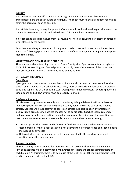#### **INJURIES**

If an athlete injures himself at practice or during an athletic contest, the athlete should immediately make the coach aware of his injury. The coach must fill out an accident report and notify the parents as soon as possible.

If an athlete has an injury requiring a doctor's care he will not be allowed to participate until the student is released to participate by the doctor. This should be in written form.

If a student has a medical excuse from PE, he/she will not be allowed to participate in athletics until released by the doctor.

Any athlete receiving an injury can obtain proper medical care and sports rehabilitation from any of the following sports care centers: Sports Care of Illinois, Regional Orthopedic and Sports Medicine Center.

# **VOLUNTEER AND NON-TEACHING COACHES**

All volunteer and non-teaching coaches of South County Viper Sports must attend a registered ASEP clinic for coaching and first aid prior to or shortly thereafter the start of the sport that they are intending to assist. This may be done on-line as well.

# **OFF-SEASON PROGRAMS**

# *Open Gyms*

Open gyms must be approved by the athletic director and are always to be operated for the benefit of all students in the school districts. They must be properly announced to the student body, and supervised by the coaching staff. Open gyms are not mandatory for participation in a school sport, and all IHSA bylaws must be properly followed.

# *Off-Season Programs*

All off-season programs must comply with the existing IHSA guidelines. It will be understood that participation in all off-season programs is strictly voluntary on the part of the student athlete. Coaches will never attempt to coerce an athlete into participation or threaten or display future prejudice if an athlete chooses not to participate. Coaches should remember that, particularly in the summertime, several programs may be going on at the same time, and that students may experience unreasonable demands upon their time and energy.

- **a.** Those programs that are currently "in-season" will always take precedence over any offseason program. Athletic specialization is not deemed to be of importance and should not be encouraged by any coach.
- **b.** IHSA contact days in the summer need to be documented by the coach of each sport meeting during the summer time.

# *Summer Shutdown*

All South County Viper indoor athletic facilities will shut down each summer in the middle of July, an exact date will be determined by the Athletic Directors and school administrators of each building. At this time, there is to be no use of the facilities until the fall sports begin legal practice times set forth by the IHSA.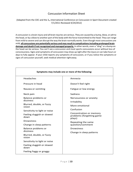# Concussion Information Sheet

#### (Adapted from the CDC and the  $3_{rd}$  International Conference on Concussion in Sport Document created 7/1/2011 Reviewed 4/24/2012)

A concussion is a brain injury and all brain injuries are serious. They are caused by a bump, blow, or jolt to the head, or by a blow to another part of the body with the force transmitted to the head. They can range from mild to severe and can disrupt the way the brain normally works. Even though most concussions are mild, **all concussions are potentially serious and may result in complicationsincluding prolonged brain damage and death if not recognized and managed properly.** In other words, even a "ding" or a bump on the head can be serious. You can't see a concussion and most sports concussions occur without loss of consciousness. Signs and symptoms of concussion may show up right afterthe injury or can take hours or days to fully appear. If your child reports any symptoms of concussion, or if you notice the symptoms or signs of concussion yourself, seek medical attention rightaway.

| Symptoms may include one or more of the following: |                                                                |  |
|----------------------------------------------------|----------------------------------------------------------------|--|
| <b>Headaches</b>                                   | Amnesia                                                        |  |
| Pressure in head                                   | Doesn't feel right                                             |  |
| Nausea or vomiting                                 | Fatigue or low energy                                          |  |
| Neck pain                                          | Sadness                                                        |  |
| Balance problems or                                | Nervousness or anxiety<br>Irritability                         |  |
| dizziness                                          |                                                                |  |
| Blurred, double, or fuzzy<br>vision                | More emotional                                                 |  |
| Sensitivity to light or noise                      | Confusion                                                      |  |
| Feeling sluggish or slowed<br>down                 | Concentration or memory<br>problems (forgetting game<br>plays) |  |
| <b>Drowsiness</b>                                  | Repeating the same<br>question/comment                         |  |
| Change in sleep patterns                           |                                                                |  |
| Balance problems or                                | <b>Drowsiness</b>                                              |  |
| dizziness                                          | Change in sleep patterns                                       |  |
| Blurred, double, or fuzzy<br>vision                |                                                                |  |
| Sensitivity to light or noise                      |                                                                |  |
| Feeling sluggish or slowed<br>down                 |                                                                |  |
| Feeling foggy or groggy                            |                                                                |  |